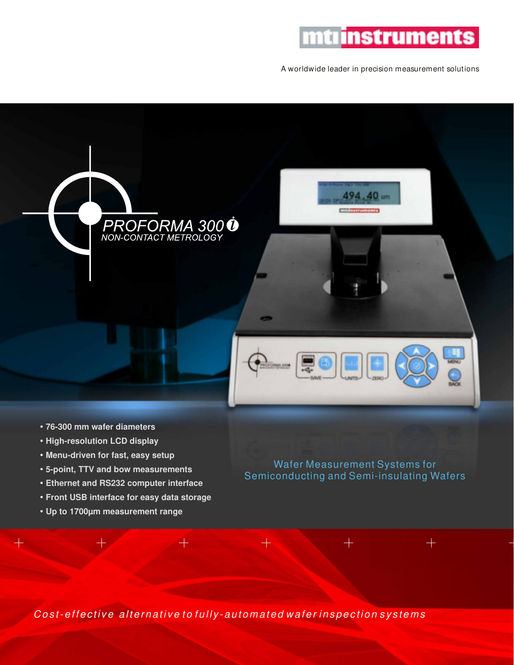## mtrinstruments

A worldwide leader in precision measurement solutions

494.40 um **molestruments** 





- " **76-300 mm wafer diameters**
- **High-resolution LCD display**
- **Menu-driven for fast, easy setup**
- " **5-point, TTV and bow measurements**
- **Ethernet and RS232 computer interface**
- " **Front USB interface for easy data storage**
- " **Up to 1700µm measurement range**

Wafer Measurement Systems for Semiconducting and Semi-insulating Wafers

 $+$ 

 $+$ 

Cost-effective alternative to fully-automated wafer inspection systems